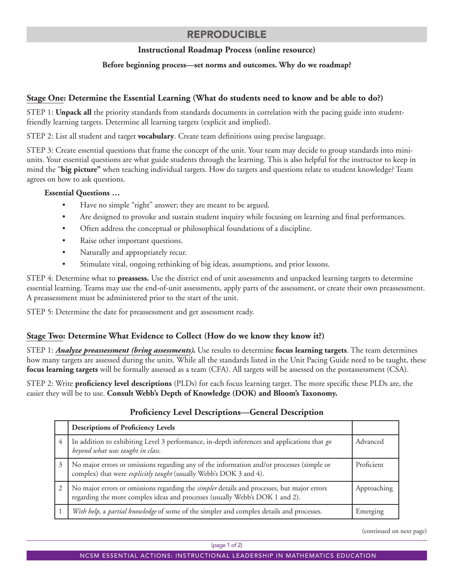## REPRODUCIBLE

## **Instructional Roadmap Process (online resource)**

#### **Before beginning process—set norms and outcomes. Why do we roadmap?**

## **Stage One: Determine the Essential Learning (What do students need to know and be able to do?)**

STEP 1: **Unpack all** the priority standards from standards documents in correlation with the pacing guide into studentfriendly learning targets. Determine all learning targets (explicit and implied).

STEP 2: List all student and target **vocabulary**. Create team definitions using precise language.

STEP 3: Create essential questions that frame the concept of the unit. Your team may decide to group standards into miniunits. Your essential questions are what guide students through the learning. This is also helpful for the instructor to keep in mind the "**big picture"** when teaching individual targets. How do targets and questions relate to student knowledge? Team agrees on how to ask questions.

#### **Essential Questions …**

- Have no simple "right" answer; they are meant to be argued.
- Are designed to provoke and sustain student inquiry while focusing on learning and final performances.
- Often address the conceptual or philosophical foundations of a discipline.
- Raise other important questions.
- Naturally and appropriately recur.
- Stimulate vital, ongoing rethinking of big ideas, assumptions, and prior lessons.

STEP 4: Determine what to **preassess.** Use the district end of unit assessments and unpacked learning targets to determine essential learning. Teams may use the end-of-unit assessments, apply parts of the assessment, or create their own preassessment. A preassessment must be administered prior to the start of the unit.

STEP 5: Determine the date for preassessment and get assessment ready.

### **Stage Two: Determine What Evidence to Collect (How do we know they know it?)**

STEP 1: *Analyze preassessment (bring assessments)***.** Use results to determine **focus learning targets**. The team determines how many targets are assessed during the units. While all the standards listed in the Unit Pacing Guide need to be taught, these **focus learning targets** will be formally assessed as a team (CFA). All targets will be assessed on the postassessment (CSA).

STEP 2: Write **proficiency level descriptions** (PLDs) for each focus learning target. The more specific these PLDs are, the easier they will be to use. **Consult Webb's Depth of Knowledge (DOK) and Bloom's Taxonomy.**

#### **Descriptions of Proficiency Levels** 4 In addition to exhibiting Level 3 performance, in-depth inferences and applications that *go beyond what was taught in class.* Advanced 3 No major errors or omissions regarding any of the information and/or processes (simple or complex) that were *explicitly taught* (usually Webb's DOK 3 and 4). Proficient 2 No major errors or omissions regarding the *simpler* details and processes, but major errors regarding the more complex ideas and processes (usually Webb's DOK 1 and 2). Approaching 1 *With help*, a *partial knowledge* of some of the simpler and complex details and processes. Emerging

**Proficiency Level Descriptions—General Description**

(continued on next page)

(page 1 of 2)